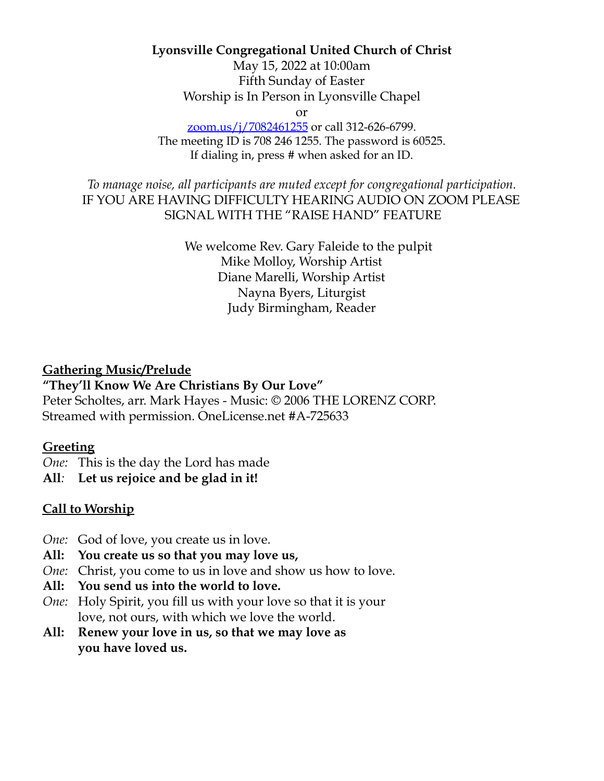### **Lyonsville Congregational United Church of Christ**

May 15, 2022 at 10:00am Fifth Sunday of Easter Worship is In Person in Lyonsville Chapel

or

zoom.us/j/7082461255 or call 312-626-6799. The meeting ID is 708 246 1255. The password is 60525. If dialing in, press # when asked for an ID.

*To manage noise, all participants are muted except for congregational participation.* IF YOU ARE HAVING DIFFICULTY HEARING AUDIO ON ZOOM PLEASE SIGNAL WITH THE "RAISE HAND" FEATURE

> We welcome Rev. Gary Faleide to the pulpit Mike Molloy, Worship Artist Diane Marelli, Worship Artist Nayna Byers, Liturgist Judy Birmingham, Reader

### **Gathering Music/Prelude**

#### **"They'll Know We Are Christians By Our Love"**

Peter Scholtes, arr. Mark Hayes - Music: © 2006 THE LORENZ CORP. Streamed with permission. OneLicense.net #A-725633

#### **Greeting**

*One:* This is the day the Lord has made

**All***:* **Let us rejoice and be glad in it!**

## **Call to Worship**

- *One:* God of love, you create us in love.
- **All: You create us so that you may love us,**
- *One:* Christ, you come to us in love and show us how to love.
- **All: You send us into the world to love.**
- *One:* Holy Spirit, you fill us with your love so that it is your love, not ours, with which we love the world.
- **All: Renew your love in us, so that we may love as you have loved us.**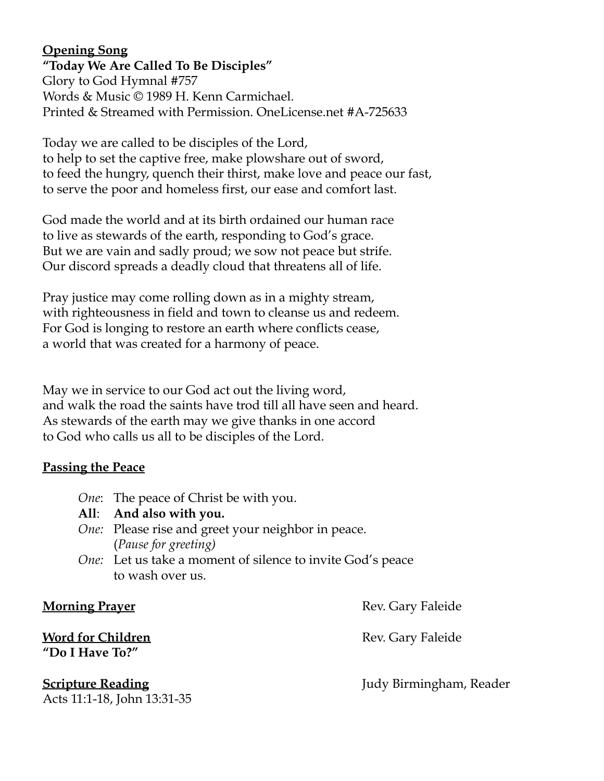# **Opening Song**

**"Today We Are Called To Be Disciples"** Glory to God Hymnal #757 Words & Music © 1989 H. Kenn Carmichael. Printed & Streamed with Permission. OneLicense.net #A-725633

Today we are called to be disciples of the Lord, to help to set the captive free, make plowshare out of sword, to feed the hungry, quench their thirst, make love and peace our fast, to serve the poor and homeless first, our ease and comfort last.

God made the world and at its birth ordained our human race to live as stewards of the earth, responding to God's grace. But we are vain and sadly proud; we sow not peace but strife. Our discord spreads a deadly cloud that threatens all of life.

Pray justice may come rolling down as in a mighty stream, with righteousness in field and town to cleanse us and redeem. For God is longing to restore an earth where conflicts cease, a world that was created for a harmony of peace.

May we in service to our God act out the living word, and walk the road the saints have trod till all have seen and heard. As stewards of the earth may we give thanks in one accord to God who calls us all to be disciples of the Lord.

## **Passing the Peace**

- *One*: The peace of Christ be with you.
- **All**: **And also with you.**
- *One:* Please rise and greet your neighbor in peace. (*Pause for greeting)*
- *One:* Let us take a moment of silence to invite God's peace to wash over us.

**Word for Children** Rev. Gary Faleide **"Do I Have To?"**

Acts 11:1-18, John 13:31-35

**Morning Prayer** Rev. Gary Faleide

**Scripture Reading Constanting Constanting Scripture** Reader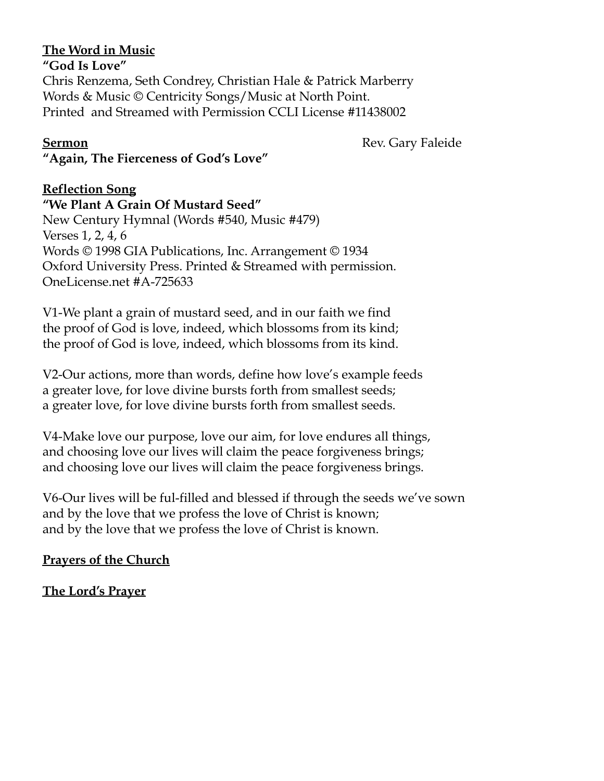# **The Word in Music**

**"God Is Love"** Chris Renzema, Seth Condrey, Christian Hale & Patrick Marberry Words & Music © Centricity Songs/Music at North Point. Printed and Streamed with Permission CCLI License #11438002

**Sermon** Rev. Gary Faleide

**"Again, The Fierceness of God's Love"**

# **Reflection Song**

**"We Plant A Grain Of Mustard Seed"**

New Century Hymnal (Words #540, Music #479) Verses 1, 2, 4, 6 Words © 1998 GIA Publications, Inc. Arrangement © 1934 Oxford University Press. Printed & Streamed with permission. OneLicense.net #A-725633

V1-We plant a grain of mustard seed, and in our faith we find the proof of God is love, indeed, which blossoms from its kind; the proof of God is love, indeed, which blossoms from its kind.

V2-Our actions, more than words, define how love's example feeds a greater love, for love divine bursts forth from smallest seeds; a greater love, for love divine bursts forth from smallest seeds.

V4-Make love our purpose, love our aim, for love endures all things, and choosing love our lives will claim the peace forgiveness brings; and choosing love our lives will claim the peace forgiveness brings.

V6-Our lives will be ful-filled and blessed if through the seeds we've sown and by the love that we profess the love of Christ is known; and by the love that we profess the love of Christ is known.

# **Prayers of the Church**

**The Lord's Prayer**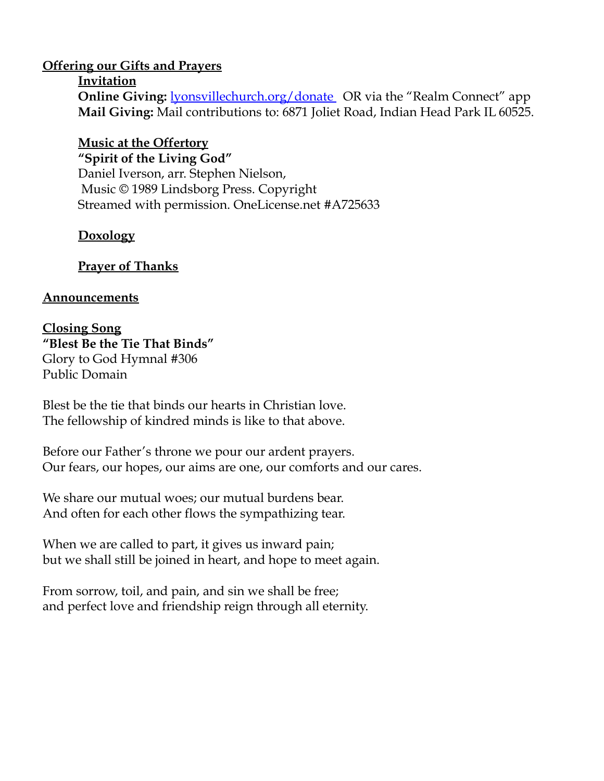### **Offering our Gifts and Prayers**

#### **Invitation**

**Online Giving: lyonsvillechurch.org/donate** OR via the "Realm Connect" app **Mail Giving:** Mail contributions to: 6871 Joliet Road, Indian Head Park IL 60525.

## **Music at the Offertory**

**"Spirit of the Living God"** Daniel Iverson, arr. Stephen Nielson, Music © 1989 Lindsborg Press. Copyright Streamed with permission. OneLicense.net #A725633

# **Doxology**

# **Prayer of Thanks**

## **Announcements**

### **Closing Song "Blest Be the Tie That Binds"** Glory to God Hymnal #306 Public Domain

Blest be the tie that binds our hearts in Christian love. The fellowship of kindred minds is like to that above.

Before our Father's throne we pour our ardent prayers. Our fears, our hopes, our aims are one, our comforts and our cares.

We share our mutual woes; our mutual burdens bear. And often for each other flows the sympathizing tear.

When we are called to part, it gives us inward pain; but we shall still be joined in heart, and hope to meet again.

From sorrow, toil, and pain, and sin we shall be free; and perfect love and friendship reign through all eternity.